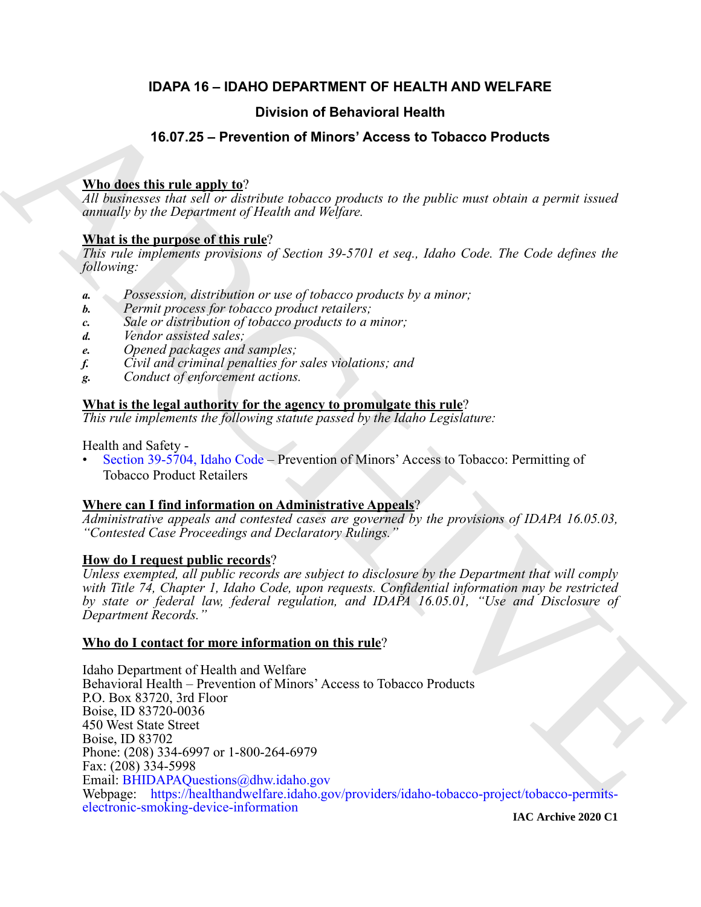# **IDAPA 16 – IDAHO DEPARTMENT OF HEALTH AND WELFARE**

# **Division of Behavioral Health**

# **16.07.25 – Prevention of Minors' Access to Tobacco Products**

# **Who does this rule apply to**?

*All businesses that sell or distribute tobacco products to the public must obtain a permit issued annually by the Department of Health and Welfare.*

# **What is the purpose of this rule**?

*This rule implements provisions of Section 39-5701 et seq., Idaho Code. The Code defines the following:*

- *a. Possession, distribution or use of tobacco products by a minor;*
- *b. Permit process for tobacco product retailers;*
- *c. Sale or distribution of tobacco products to a minor;*
- *d. Vendor assisted sales;*
- *e. Opened packages and samples;*
- *f. Civil and criminal penalties for sales violations; and*
- *g. Conduct of enforcement actions.*

# **What is the legal authority for the agency to promulgate this rule**?

*This rule implements the following statute passed by the Idaho Legislature:*

Health and Safety -

• Section 39-5704, Idaho Code – Prevention of Minors' Access to Tobacco: Permitting of Tobacco Product Retailers

# **Where can I find information on Administrative Appeals**?

*Administrative appeals and contested cases are governed by the provisions of IDAPA 16.05.03, "Contested Case Proceedings and Declaratory Rulings."*

# **How do I request public records**?

*Unless exempted, all public records are subject to disclosure by the Department that will comply with Title 74, Chapter 1, Idaho Code, upon requests. Confidential information may be restricted by state or federal law, federal regulation, and IDAPA 16.05.01, "Use and Disclosure of Department Records."*

# **Who do I contact for more information on this rule**?

**[E](mailto:BHIDAPAQuestions@dhw.idaho.gov)xample 16.07.25 – Provention of Behavioral Health<br>
16.07.25 – Provention of Minors' Access to Tobacco Products<br>
2.77 means in the matrix of the property of the property of the property of the property of the property of** Idaho Department of Health and Welfare Behavioral Health – Prevention of Minors' Access to Tobacco Products P.O. Box 83720, 3rd Floor Boise, ID 83720-0036 450 West State Street Boise, ID 83702 Phone: (208) 334-6997 or 1-800-264-6979 Fax: (208) 334-5998 Email: BHIDAPAQuestions@dhw.idaho.gov Webpage: https://healthandwelfare.idaho.gov/providers/idaho-tobacco-project/tobacco-permits[electronic-smoking-device-information](https://healthandwelfare.idaho.gov/providers/idaho-tobacco-project/tobacco-permits-electronic-smoking-device-information)

**IAC Archive 2020 C1**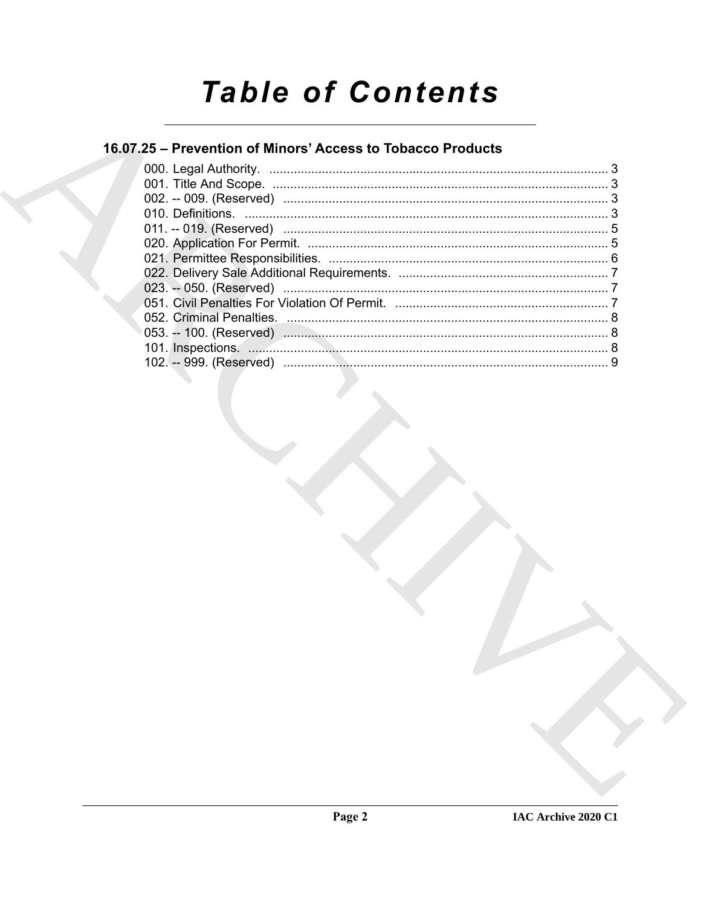# **Table of Contents**

# 16.07.25 - Prevention of Minors' Access to Tobacco Products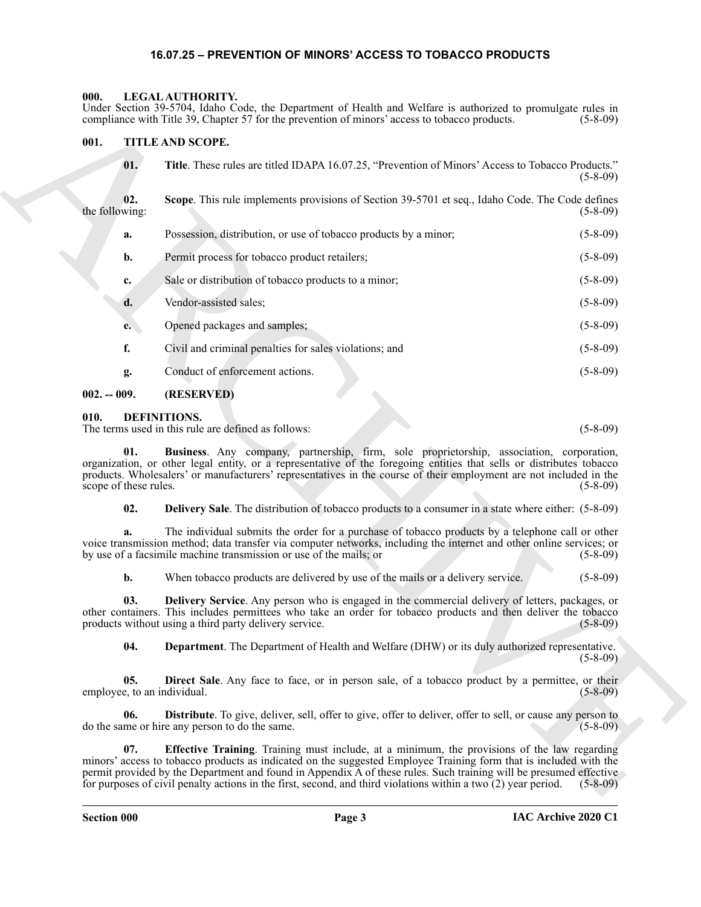## <span id="page-2-13"></span>**16.07.25 – PREVENTION OF MINORS' ACCESS TO TOBACCO PRODUCTS**

### <span id="page-2-1"></span><span id="page-2-0"></span>**000. LEGAL AUTHORITY.**

### <span id="page-2-14"></span><span id="page-2-2"></span>**001. TITLE AND SCOPE.**

|                             |       | Under Section 39-5704, Idaho Code, the Department of Health and Welfare is authorized to promulgate rules in<br>compliance with Title 39, Chapter 57 for the prevention of minors' access to tobacco products.                                                                                                                                                                                                                                                     | $(5-8-09)$     |
|-----------------------------|-------|--------------------------------------------------------------------------------------------------------------------------------------------------------------------------------------------------------------------------------------------------------------------------------------------------------------------------------------------------------------------------------------------------------------------------------------------------------------------|----------------|
| 001.                        |       | TITLE AND SCOPE.                                                                                                                                                                                                                                                                                                                                                                                                                                                   |                |
|                             | 01.   | Title. These rules are titled IDAPA 16.07.25, "Prevention of Minors' Access to Tobacco Products."                                                                                                                                                                                                                                                                                                                                                                  | $(5-8-09)$     |
| the following:              | 02.   | Scope. This rule implements provisions of Section 39-5701 et seq., Idaho Code. The Code defines                                                                                                                                                                                                                                                                                                                                                                    | $(5-8-09)$     |
|                             | a.    | Possession, distribution, or use of tobacco products by a minor;                                                                                                                                                                                                                                                                                                                                                                                                   | $(5-8-09)$     |
|                             | b.    | Permit process for tobacco product retailers;                                                                                                                                                                                                                                                                                                                                                                                                                      | $(5-8-09)$     |
|                             | c.    | Sale or distribution of tobacco products to a minor;                                                                                                                                                                                                                                                                                                                                                                                                               | $(5-8-09)$     |
|                             | d.    | Vendor-assisted sales;                                                                                                                                                                                                                                                                                                                                                                                                                                             | $(5-8-09)$     |
|                             | e.    | Opened packages and samples;                                                                                                                                                                                                                                                                                                                                                                                                                                       | $(5-8-09)$     |
| f.                          |       | Civil and criminal penalties for sales violations; and                                                                                                                                                                                                                                                                                                                                                                                                             | $(5-8-09)$     |
|                             | g.    | Conduct of enforcement actions.                                                                                                                                                                                                                                                                                                                                                                                                                                    | $(5-8-09)$     |
| $002. - 009.$               |       | (RESERVED)                                                                                                                                                                                                                                                                                                                                                                                                                                                         |                |
| 010.                        |       | DEFINITIONS.<br>The terms used in this rule are defined as follows:                                                                                                                                                                                                                                                                                                                                                                                                | $(5-8-09)$     |
| scope of these rules.       | 01.   | Business. Any company, partnership, firm, sole proprietorship, association, corporation,<br>organization, or other legal entity, or a representative of the foregoing entities that sells or distributes tobacco<br>products. Wholesalers' or manufacturers' representatives in the course of their employment are not included in the                                                                                                                             | $(5-8-09)$     |
|                             | 02.   | <b>Delivery Sale</b> . The distribution of tobacco products to a consumer in a state where either: (5-8-09)                                                                                                                                                                                                                                                                                                                                                        |                |
|                             | a.    | The individual submits the order for a purchase of tobacco products by a telephone call or other<br>voice transmission method; data transfer via computer networks, including the internet and other online services; or<br>by use of a facsimile machine transmission or use of the mails; or                                                                                                                                                                     | $(5-8-09)$     |
|                             | $b$ . | When tobacco products are delivered by use of the mails or a delivery service.                                                                                                                                                                                                                                                                                                                                                                                     | $(5-8-09)$     |
|                             | 03.   | <b>Delivery Service.</b> Any person who is engaged in the commercial delivery of letters, packages, or<br>other containers. This includes permittees who take an order for tobacco products and then deliver the tobacco<br>products without using a third party delivery service.                                                                                                                                                                                 | $(5 - 8 - 09)$ |
|                             | 04.   | Department. The Department of Health and Welfare (DHW) or its duly authorized representative.                                                                                                                                                                                                                                                                                                                                                                      | $(5-8-09)$     |
| employee, to an individual. | 05.   | Direct Sale. Any face to face, or in person sale, of a tobacco product by a permittee, or their                                                                                                                                                                                                                                                                                                                                                                    | $(5-8-09)$     |
|                             | 06.   | Distribute. To give, deliver, sell, offer to give, offer to deliver, offer to sell, or cause any person to<br>do the same or hire any person to do the same.                                                                                                                                                                                                                                                                                                       | $(5-8-09)$     |
|                             | 07.   | <b>Effective Training.</b> Training must include, at a minimum, the provisions of the law regarding<br>minors' access to tobacco products as indicated on the suggested Employee Training form that is included with the<br>permit provided by the Department and found in Appendix A of these rules. Such training will be presumed effective<br>for purposes of civil penalty actions in the first, second, and third violations within a two $(2)$ year period. | $(5-8-09)$     |

#### <span id="page-2-12"></span><span id="page-2-11"></span><span id="page-2-10"></span><span id="page-2-9"></span><span id="page-2-8"></span><span id="page-2-7"></span><span id="page-2-6"></span><span id="page-2-5"></span><span id="page-2-4"></span><span id="page-2-3"></span>**010. DEFINITIONS.**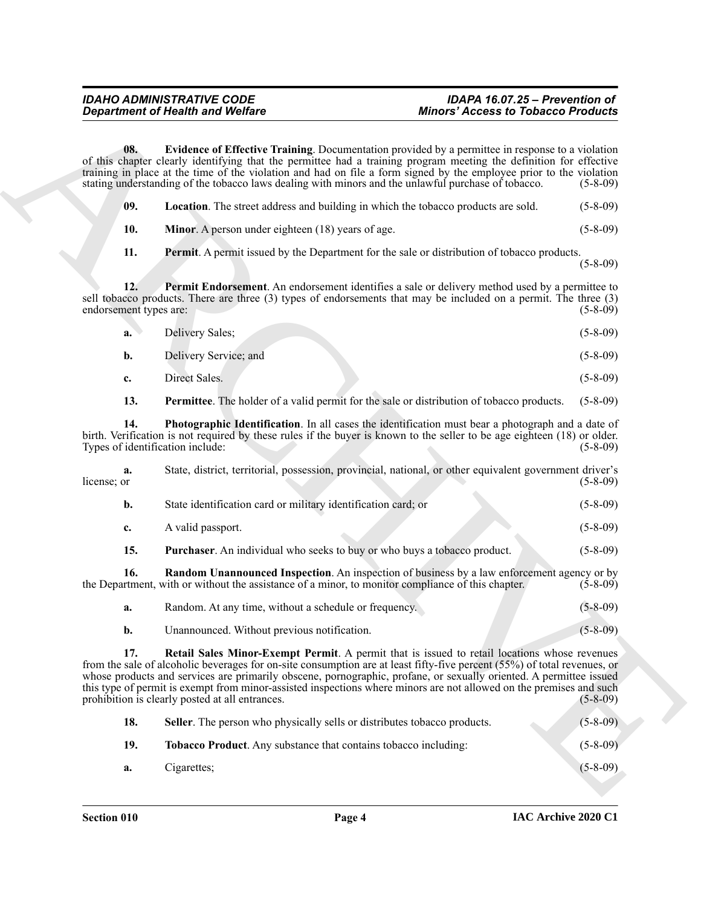<span id="page-3-3"></span><span id="page-3-2"></span><span id="page-3-1"></span><span id="page-3-0"></span>

| 09. | <b>Location</b> . The street address and building in which the tobacco products are sold. | $(5-8-09)$ |
|-----|-------------------------------------------------------------------------------------------|------------|
|-----|-------------------------------------------------------------------------------------------|------------|

<span id="page-3-6"></span><span id="page-3-5"></span><span id="page-3-4"></span>

| a. | Delivery Sales;       | $(5-8-09)$ |
|----|-----------------------|------------|
| b. | Delivery Service; and | $(5-8-09)$ |
| c. | Direct Sales.         | $(5-8-09)$ |

|                               | <b>Department of Health and Welfare</b>                                                                                                                                                                                                                                                                                                                                                                                                                                                                                  | <b>Minors' Access to Tobacco Products</b> |  |
|-------------------------------|--------------------------------------------------------------------------------------------------------------------------------------------------------------------------------------------------------------------------------------------------------------------------------------------------------------------------------------------------------------------------------------------------------------------------------------------------------------------------------------------------------------------------|-------------------------------------------|--|
| 08.                           | Evidence of Effective Training. Documentation provided by a permittee in response to a violation<br>of this chapter clearly identifying that the permittee had a training program meeting the definition for effective<br>training in place at the time of the violation and had on file a form signed by the employee prior to the violation<br>stating understanding of the tobacco laws dealing with minors and the unlawful purchase of tobacco.                                                                     | $(5-8-09)$                                |  |
| 09.                           | Location. The street address and building in which the tobacco products are sold.                                                                                                                                                                                                                                                                                                                                                                                                                                        | $(5-8-09)$                                |  |
| 10.                           | Minor. A person under eighteen (18) years of age.                                                                                                                                                                                                                                                                                                                                                                                                                                                                        | $(5-8-09)$                                |  |
| 11.                           | <b>Permit.</b> A permit issued by the Department for the sale or distribution of tobacco products.                                                                                                                                                                                                                                                                                                                                                                                                                       | $(5-8-09)$                                |  |
| 12.<br>endorsement types are: | Permit Endorsement. An endorsement identifies a sale or delivery method used by a permittee to<br>sell tobacco products. There are three (3) types of endorsements that may be included on a permit. The three (3)                                                                                                                                                                                                                                                                                                       | $(5-8-09)$                                |  |
| a.                            | Delivery Sales;                                                                                                                                                                                                                                                                                                                                                                                                                                                                                                          | $(5-8-09)$                                |  |
| b.                            | Delivery Service; and                                                                                                                                                                                                                                                                                                                                                                                                                                                                                                    | $(5-8-09)$                                |  |
| c.                            | Direct Sales.                                                                                                                                                                                                                                                                                                                                                                                                                                                                                                            | $(5-8-09)$                                |  |
| 13.                           | <b>Permittee.</b> The holder of a valid permit for the sale or distribution of tobacco products.                                                                                                                                                                                                                                                                                                                                                                                                                         | $(5-8-09)$                                |  |
| 14.                           | Photographic Identification. In all cases the identification must bear a photograph and a date of<br>birth. Verification is not required by these rules if the buyer is known to the seller to be age eighteen (18) or older.<br>Types of identification include:                                                                                                                                                                                                                                                        | $(5-8-09)$                                |  |
| a.<br>license; or             | State, district, territorial, possession, provincial, national, or other equivalent government driver's                                                                                                                                                                                                                                                                                                                                                                                                                  | $(5-8-09)$                                |  |
| b.                            | State identification card or military identification card; or                                                                                                                                                                                                                                                                                                                                                                                                                                                            | $(5-8-09)$                                |  |
| c.                            | A valid passport.                                                                                                                                                                                                                                                                                                                                                                                                                                                                                                        | $(5-8-09)$                                |  |
| 15.                           | Purchaser. An individual who seeks to buy or who buys a tobacco product.                                                                                                                                                                                                                                                                                                                                                                                                                                                 | $(5-8-09)$                                |  |
| 16.                           | <b>Random Unannounced Inspection</b> . An inspection of business by a law enforcement agency or by<br>the Department, with or without the assistance of a minor, to monitor compliance of this chapter.                                                                                                                                                                                                                                                                                                                  | $(5-8-09)$                                |  |
| a.                            | Random. At any time, without a schedule or frequency.                                                                                                                                                                                                                                                                                                                                                                                                                                                                    | $(5 - 8 - 09)$                            |  |
| b.                            | Unannounced. Without previous notification.                                                                                                                                                                                                                                                                                                                                                                                                                                                                              | $(5 - 8 - 09)$                            |  |
| 17.                           | Retail Sales Minor-Exempt Permit. A permit that is issued to retail locations whose revenues<br>from the sale of alcoholic beverages for on-site consumption are at least fifty-five percent (55%) of total revenues, or<br>whose products and services are primarily obscene, pornographic, profane, or sexually oriented. A permittee issued<br>this type of permit is exempt from minor-assisted inspections where minors are not allowed on the premises and such<br>prohibition is clearly posted at all entrances. | $(5-8-09)$                                |  |
| 18.                           | Seller. The person who physically sells or distributes tobacco products.                                                                                                                                                                                                                                                                                                                                                                                                                                                 | $(5 - 8 - 09)$                            |  |
| 19.                           | Tobacco Product. Any substance that contains tobacco including:                                                                                                                                                                                                                                                                                                                                                                                                                                                          | $(5-8-09)$                                |  |
|                               | Cigarettes;                                                                                                                                                                                                                                                                                                                                                                                                                                                                                                              | $(5 - 8 - 09)$                            |  |

<span id="page-3-9"></span><span id="page-3-8"></span><span id="page-3-7"></span>

| Random. At any time, without a schedule or frequency. | $(5-8-09)$     |
|-------------------------------------------------------|----------------|
| Unannounced. Without previous notification.           | $(5 - 8 - 09)$ |

<span id="page-3-11"></span><span id="page-3-10"></span>

| 18. | Seller. The person who physically sells or distributes tobacco products. | $(5-8-09)$ |
|-----|--------------------------------------------------------------------------|------------|
| 19. | <b>Tobacco Product.</b> Any substance that contains tobacco including:   | $(5-8-09)$ |
| а.  | Cigarettes;                                                              | $(5-8-09)$ |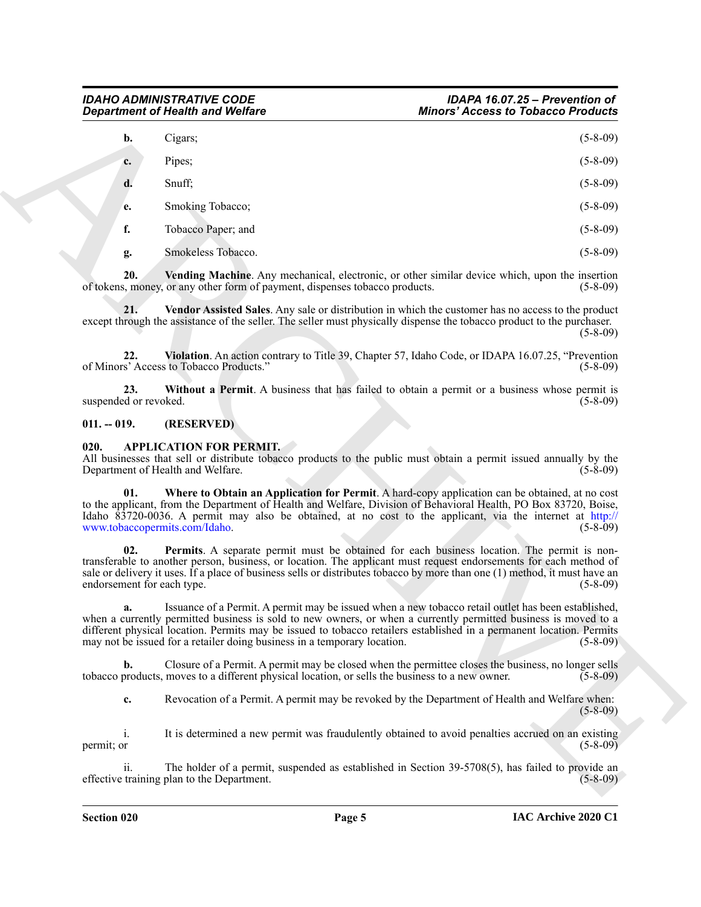|                                   | <b>Department of Health and Welfare</b>                                                          | <b>Minors' Access to Tobacco Products</b>                                                                                                                                                                                                                                                                                                                       |  |
|-----------------------------------|--------------------------------------------------------------------------------------------------|-----------------------------------------------------------------------------------------------------------------------------------------------------------------------------------------------------------------------------------------------------------------------------------------------------------------------------------------------------------------|--|
| b.                                | Cigars;                                                                                          | $(5-8-09)$                                                                                                                                                                                                                                                                                                                                                      |  |
| c.                                | Pipes;                                                                                           | $(5-8-09)$                                                                                                                                                                                                                                                                                                                                                      |  |
| d.                                | Snuff;                                                                                           | $(5-8-09)$                                                                                                                                                                                                                                                                                                                                                      |  |
| e.                                | Smoking Tobacco;                                                                                 | $(5-8-09)$                                                                                                                                                                                                                                                                                                                                                      |  |
| f.                                | Tobacco Paper; and                                                                               | $(5-8-09)$                                                                                                                                                                                                                                                                                                                                                      |  |
| g.                                | Smokeless Tobacco.                                                                               | $(5-8-09)$                                                                                                                                                                                                                                                                                                                                                      |  |
| 20.                               | of tokens, money, or any other form of payment, dispenses tobacco products.                      | Vending Machine. Any mechanical, electronic, or other similar device which, upon the insertion<br>$(5-8-09)$                                                                                                                                                                                                                                                    |  |
| 21.                               |                                                                                                  | Vendor Assisted Sales. Any sale or distribution in which the customer has no access to the product<br>except through the assistance of the seller. The seller must physically dispense the tobacco product to the purchaser.<br>$(5-8-09)$                                                                                                                      |  |
| 22.                               | of Minors' Access to Tobacco Products."                                                          | Violation. An action contrary to Title 39, Chapter 57, Idaho Code, or IDAPA 16.07.25, "Prevention<br>$(5-8-09)$                                                                                                                                                                                                                                                 |  |
| 23.<br>suspended or revoked.      |                                                                                                  | Without a Permit. A business that has failed to obtain a permit or a business whose permit is<br>$(5-8-09)$                                                                                                                                                                                                                                                     |  |
| $011. - 019.$                     | (RESERVED)                                                                                       |                                                                                                                                                                                                                                                                                                                                                                 |  |
| 020.                              | <b>APPLICATION FOR PERMIT.</b><br>Department of Health and Welfare.                              | All businesses that sell or distribute tobacco products to the public must obtain a permit issued annually by the<br>$(5-8-09)$                                                                                                                                                                                                                                 |  |
| 01.                               | www.tobaccopermits.com/Idaho.                                                                    | Where to Obtain an Application for Permit. A hard-copy application can be obtained, at no cost<br>to the applicant, from the Department of Health and Welfare, Division of Behavioral Health, PO Box 83720, Boise,<br>Idaho $\overline{83720}$ -0036. A permit may also be obtained, at no cost to the applicant, via the internet at http://<br>$(5 - 8 - 09)$ |  |
| 02.<br>endorsement for each type. |                                                                                                  | Permits. A separate permit must be obtained for each business location. The permit is non-<br>transferable to another person, business, or location. The applicant must request endorsements for each method of<br>sale or delivery it uses. If a place of business sells or distributes tobacco by more than one (1) method, it must have an<br>$(5-8-09)$     |  |
| a.                                | may not be issued for a retailer doing business in a temporary location.                         | Issuance of a Permit. A permit may be issued when a new tobacco retail outlet has been established,<br>when a currently permitted business is sold to new owners, or when a currently permitted business is moved to a<br>different physical location. Permits may be issued to tobacco retailers established in a permanent location. Permits<br>$(5-8-09)$    |  |
| b.                                | tobacco products, moves to a different physical location, or sells the business to a new owner.  | Closure of a Permit. A permit may be closed when the permittee closes the business, no longer sells<br>$(5-8-09)$                                                                                                                                                                                                                                               |  |
| c.                                |                                                                                                  | Revocation of a Permit. A permit may be revoked by the Department of Health and Welfare when:<br>$(5-8-09)$                                                                                                                                                                                                                                                     |  |
| i.<br>permit; or                  |                                                                                                  | It is determined a new permit was fraudulently obtained to avoid penalties accrued on an existing<br>$(5-8-09)$                                                                                                                                                                                                                                                 |  |
|                                   | The holder of a permit, suspended as established in Section 39-5708(5), has failed to provide an |                                                                                                                                                                                                                                                                                                                                                                 |  |

### <span id="page-4-8"></span><span id="page-4-7"></span><span id="page-4-6"></span><span id="page-4-5"></span><span id="page-4-0"></span>**011. -- 019. (RESERVED)**

#### <span id="page-4-4"></span><span id="page-4-3"></span><span id="page-4-2"></span><span id="page-4-1"></span>**020. APPLICATION FOR PERMIT.**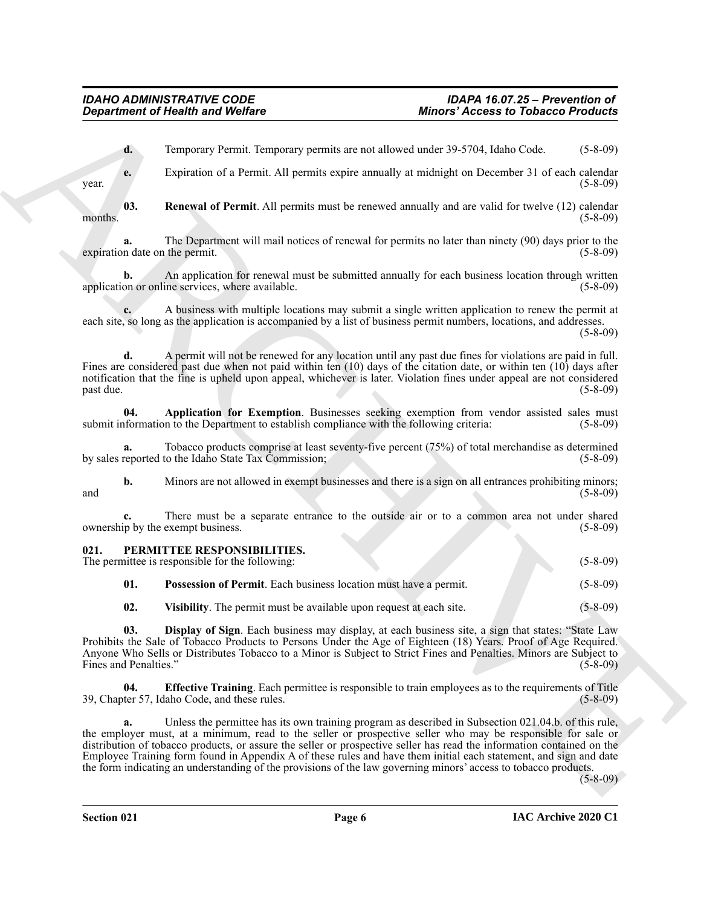<span id="page-5-2"></span>**d.** Temporary Permit. Temporary permits are not allowed under 39-5704, Idaho Code. (5-8-09)

**e.** Expiration of a Permit. All permits expire annually at midnight on December 31 of each calendar  $\mu$  year. (5-8-09)

**03. Renewal of Permit**. All permits must be renewed annually and are valid for twelve (12) calendar months.  $(5-8-09)$ 

**a.** The Department will mail notices of renewal for permits no later than ninety (90) days prior to the n date on the permit. (5-8-09) expiration date on the permit.

**b.** An application for renewal must be submitted annually for each business location through written application or online services, where available. (5-8-09)

**c.** A business with multiple locations may submit a single written application to renew the permit at each site, so long as the application is accompanied by a list of business permit numbers, locations, and addresses. (5-8-09)

**d.** A permit will not be renewed for any location until any past due fines for violations are paid in full. Fines are considered past due when not paid within ten (10) days of the citation date, or within ten (10) days after notification that the fine is upheld upon appeal, whichever is later. Violation fines under appeal are not considered past due. (5-8-09) past due. (5-8-09)

<span id="page-5-1"></span>**04. Application for Exemption**. Businesses seeking exemption from vendor assisted sales must of ormation to the Department to establish compliance with the following criteria: (5-8-09) submit information to the Department to establish compliance with the following criteria:

**a.** Tobacco products comprise at least seventy-five percent (75%) of total merchandise as determined by sales reported to the Idaho State Tax Commission; (5-8-09)

**b.** Minors are not allowed in exempt businesses and there is a sign on all entrances prohibiting minors; and  $(5-8-09)$ 

There must be a separate entrance to the outside air or to a common area not under shared exempt business. (5-8-09) ownership by the exempt business.

<span id="page-5-3"></span><span id="page-5-0"></span>

| 021. |     | PERMITTEE RESPONSIBILITIES.<br>The permittee is responsible for the following: | $(5-8-09)$ |
|------|-----|--------------------------------------------------------------------------------|------------|
|      | 01. | Possession of Permit. Each business location must have a permit.               | $(5-8-09)$ |

<span id="page-5-7"></span><span id="page-5-6"></span><span id="page-5-5"></span><span id="page-5-4"></span>**02. Visibility**. The permit must be available upon request at each site. (5-8-09)

**03. Display of Sign**. Each business may display, at each business site, a sign that states: "State Law Prohibits the Sale of Tobacco Products to Persons Under the Age of Eighteen (18) Years. Proof of Age Required. Anyone Who Sells or Distributes Tobacco to a Minor is Subject to Strict Fines and Penalties. Minors are Subject to Fines and Penalties." (5-8-09)

**04. Effective Training**. Each permittee is responsible to train employees as to the requirements of Title ter 57, Idaho Code, and these rules. (5-8-09) 39, Chapter 57, Idaho Code, and these rules.

**Expansion of Nicolative and Wolfare**<br>
Archives Theoretics and Wolfare<br> **ARCHIVES** Consider the Constrainer of the Constrainer of the Constrainer of the Constrainer of the Constrainer<br>
Section 2014 2014 2014 2014 2014 201 Unless the permittee has its own training program as described in Subsection 021.04.b. of this rule, the employer must, at a minimum, read to the seller or prospective seller who may be responsible for sale or distribution of tobacco products, or assure the seller or prospective seller has read the information contained on the Employee Training form found in Appendix A of these rules and have them initial each statement, and sign and date the form indicating an understanding of the provisions of the law governing minors' access to tobacco products.

(5-8-09)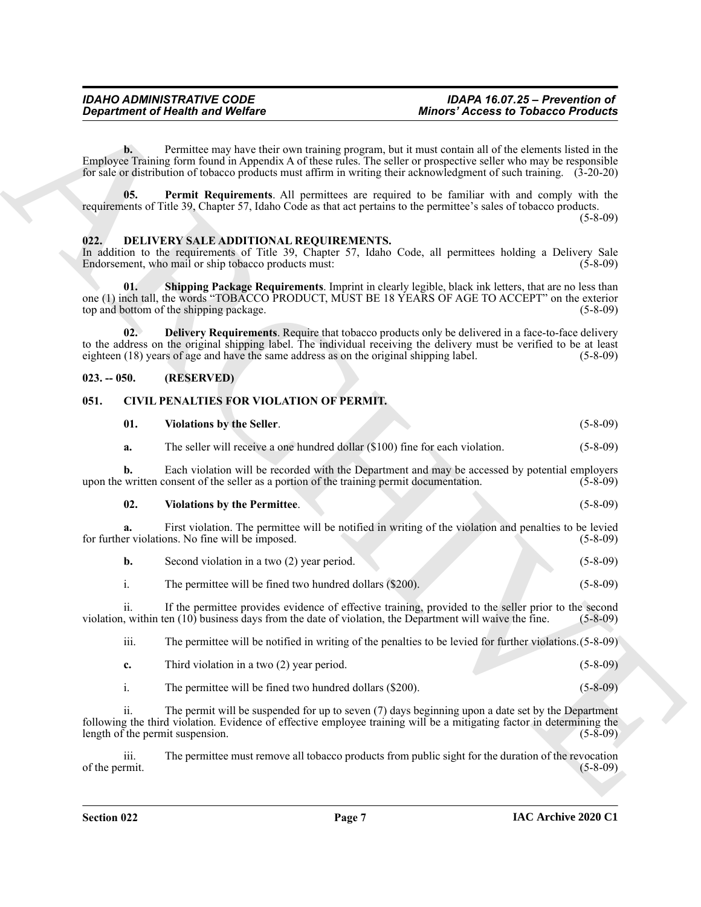#### *IDAHO ADMINISTRATIVE CODE IDAPA 16.07.25 – Prevention of*  **Minors' Access to Tobacco Products**

### <span id="page-6-9"></span><span id="page-6-8"></span><span id="page-6-6"></span><span id="page-6-0"></span>**022. DELIVERY SALE ADDITIONAL REQUIREMENTS.**

### <span id="page-6-7"></span><span id="page-6-1"></span>**023. -- 050. (RESERVED)**

### <span id="page-6-5"></span><span id="page-6-4"></span><span id="page-6-3"></span><span id="page-6-2"></span>**051. CIVIL PENALTIES FOR VIOLATION OF PERMIT.**

|                |                | <b>Department of Health and Welfare</b>                                                                                                                                                                                                      | <b>Minors' Access to Tobacco Products</b>                                                                |                |
|----------------|----------------|----------------------------------------------------------------------------------------------------------------------------------------------------------------------------------------------------------------------------------------------|----------------------------------------------------------------------------------------------------------|----------------|
|                | $\mathbf{b}$ . | Employee Training form found in Appendix A of these rules. The seller or prospective seller who may be responsible<br>for sale or distribution of tobacco products must affirm in writing their acknowledgment of such training. $(3-20-20)$ | Permittee may have their own training program, but it must contain all of the elements listed in the     |                |
|                | 05.            | requirements of Title 39, Chapter 57, Idaho Code as that act pertains to the permittee's sales of tobacco products.                                                                                                                          | <b>Permit Requirements.</b> All permittees are required to be familiar with and comply with the          | $(5-8-09)$     |
| 022.           |                | DELIVERY SALE ADDITIONAL REQUIREMENTS.<br>In addition to the requirements of Title 39, Chapter 57, Idaho Code, all permittees holding a Delivery Sale<br>Endorsement, who mail or ship tobacco products must:                                |                                                                                                          | $(5-8-09)$     |
|                | 01.            | one (1) inch tall, the words "TOBACCO PRODUCT, MUST BE 18 YEARS OF AGE TO ACCEPT" on the exterior<br>top and bottom of the shipping package.                                                                                                 | Shipping Package Requirements. Imprint in clearly legible, black ink letters, that are no less than      | $(5-8-09)$     |
|                | 02.            | to the address on the original shipping label. The individual receiving the delivery must be verified to be at least<br>eighteen (18) years of age and have the same address as on the original shipping label.                              | Delivery Requirements. Require that tobacco products only be delivered in a face-to-face delivery        | $(5-8-09)$     |
| $023. - 050.$  |                | (RESERVED)                                                                                                                                                                                                                                   |                                                                                                          |                |
| 051.           |                | <b>CIVIL PENALTIES FOR VIOLATION OF PERMIT.</b>                                                                                                                                                                                              |                                                                                                          |                |
|                | 01.            | <b>Violations by the Seller.</b>                                                                                                                                                                                                             |                                                                                                          | $(5-8-09)$     |
|                | a.             | The seller will receive a one hundred dollar (\$100) fine for each violation.                                                                                                                                                                |                                                                                                          | $(5-8-09)$     |
|                | b.             | upon the written consent of the seller as a portion of the training permit documentation.                                                                                                                                                    | Each violation will be recorded with the Department and may be accessed by potential employers           | $(5-8-09)$     |
|                | 02.            | <b>Violations by the Permittee.</b>                                                                                                                                                                                                          |                                                                                                          | $(5-8-09)$     |
|                |                | for further violations. No fine will be imposed.                                                                                                                                                                                             | First violation. The permittee will be notified in writing of the violation and penalties to be levied   | $(5-8-09)$     |
|                | b.             | Second violation in a two (2) year period.                                                                                                                                                                                                   |                                                                                                          | $(5-8-09)$     |
|                | i.             | The permittee will be fined two hundred dollars (\$200).                                                                                                                                                                                     |                                                                                                          | $(5 - 8 - 09)$ |
|                | 11.            | violation, within ten $(10)$ business days from the date of violation, the Department will waive the fine.                                                                                                                                   | If the permittee provides evidence of effective training, provided to the seller prior to the second     | $(5-8-09)$     |
|                | iii.           |                                                                                                                                                                                                                                              | The permittee will be notified in writing of the penalties to be levied for further violations. (5-8-09) |                |
|                | c.             | Third violation in a two (2) year period.                                                                                                                                                                                                    |                                                                                                          | $(5-8-09)$     |
|                | i.             | The permittee will be fined two hundred dollars (\$200).                                                                                                                                                                                     |                                                                                                          | $(5 - 8 - 09)$ |
|                | ii.            | following the third violation. Evidence of effective employee training will be a mitigating factor in determining the<br>length of the permit suspension.                                                                                    | The permit will be suspended for up to seven (7) days beginning upon a date set by the Department        | $(5-8-09)$     |
| of the permit. | iii.           |                                                                                                                                                                                                                                              | The permittee must remove all tobacco products from public sight for the duration of the revocation      | $(5-8-09)$     |
|                |                |                                                                                                                                                                                                                                              |                                                                                                          |                |
|                |                |                                                                                                                                                                                                                                              |                                                                                                          |                |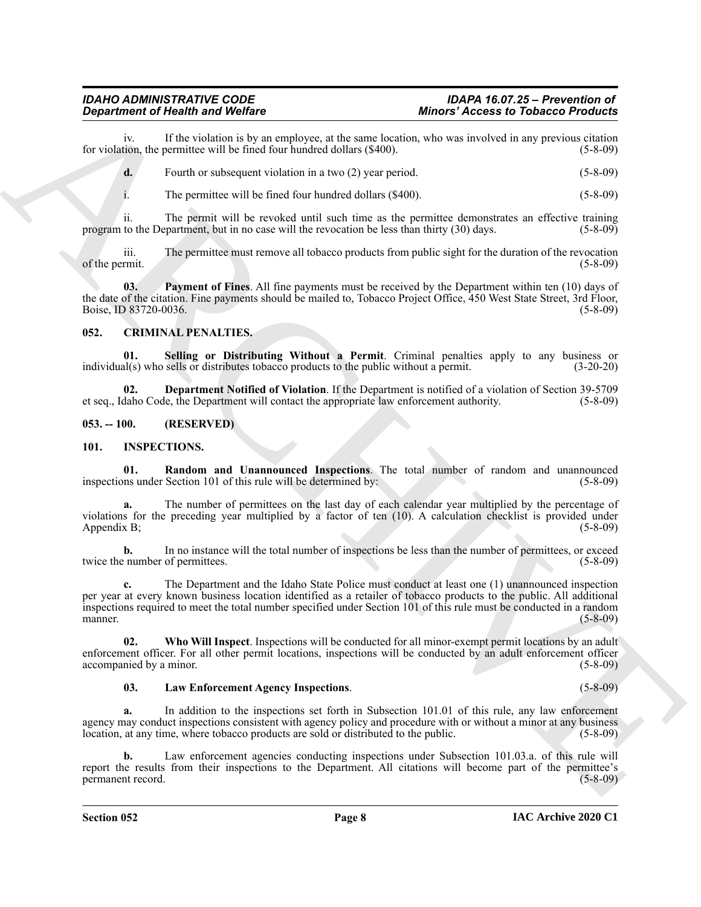#### *IDAHO ADMINISTRATIVE CODE IDAPA 16.07.25 – Prevention of Department of Health and Welfare Minors' Access to Tobacco Products*

iv. If the violation is by an employee, at the same location, who was involved in any previous citation for violation, the permittee will be fined four hundred dollars (\$400).

**d.** Fourth or subsequent violation in a two (2) year period. (5-8-09)

i. The permittee will be fined four hundred dollars (\$400). (5-8-09)

ii. The permit will be revoked until such time as the permittee demonstrates an effective training program to the Department, but in no case will the revocation be less than thirty (30) days. (5-8-09)

iii. The permittee must remove all tobacco products from public sight for the duration of the revocation of the permit. (5-8-09)

<span id="page-7-3"></span>**03. Payment of Fines**. All fine payments must be received by the Department within ten (10) days of the date of the citation. Fine payments should be mailed to, Tobacco Project Office, 450 West State Street, 3rd Floor, Boise, ID 83720-0036. (5-8-09)

### <span id="page-7-4"></span><span id="page-7-0"></span>**052. CRIMINAL PENALTIES.**

<span id="page-7-6"></span>**01. Selling or Distributing Without a Permit**. Criminal penalties apply to any business or individual(s) who sells or distributes tobacco products to the public without a permit. (3-20-20)

<span id="page-7-5"></span>**02. Department Notified of Violation**. If the Department is notified of a violation of Section 39-5709 et seq., Idaho Code, the Department will contact the appropriate law enforcement authority. (5-8-09)

### <span id="page-7-1"></span>**053. -- 100. (RESERVED)**

#### <span id="page-7-9"></span><span id="page-7-7"></span><span id="page-7-2"></span>**101. INSPECTIONS.**

**01. Random and Unannounced Inspections**. The total number of random and unannounced ons under Section 101 of this rule will be determined by: inspections under Section 101 of this rule will be determined by:

**a.** The number of permittees on the last day of each calendar year multiplied by the percentage of violations for the preceding year multiplied by a factor of ten (10). A calculation checklist is provided under<br>Appendix B: (5-8-09) Appendix B;

**b.** In no instance will the total number of inspections be less than the number of permittees, or exceed twice the number of permittees. (5-8-09)

**Benariment of Nearly Works Consumer Language Minimize Language Minimize Consumer Schedule Consumer Schedule Consumer Schedule Consumer Schedule Consumer Schedule Consumer Schedule Consumer Schedule Consumer Schedule Cons c.** The Department and the Idaho State Police must conduct at least one (1) unannounced inspection per year at every known business location identified as a retailer of tobacco products to the public. All additional inspections required to meet the total number specified under Section 101 of this rule must be conducted in a random manner. (5-8-09)

**02. Who Will Inspect**. Inspections will be conducted for all minor-exempt permit locations by an adult enforcement officer. For all other permit locations, inspections will be conducted by an adult enforcement officer accompanied by a minor. (5-8-09)

#### <span id="page-7-10"></span><span id="page-7-8"></span>**03. Law Enforcement Agency Inspections**. (5-8-09)

**a.** In addition to the inspections set forth in Subsection 101.01 of this rule, any law enforcement agency may conduct inspections consistent with agency policy and procedure with or without a minor at any business location, at any time, where tobacco products are sold or distributed to the public. (5-8-09)

**b.** Law enforcement agencies conducting inspections under Subsection 101.03.a. of this rule will report the results from their inspections to the Department. All citations will become part of the permittee's permanent record. (5-8-09)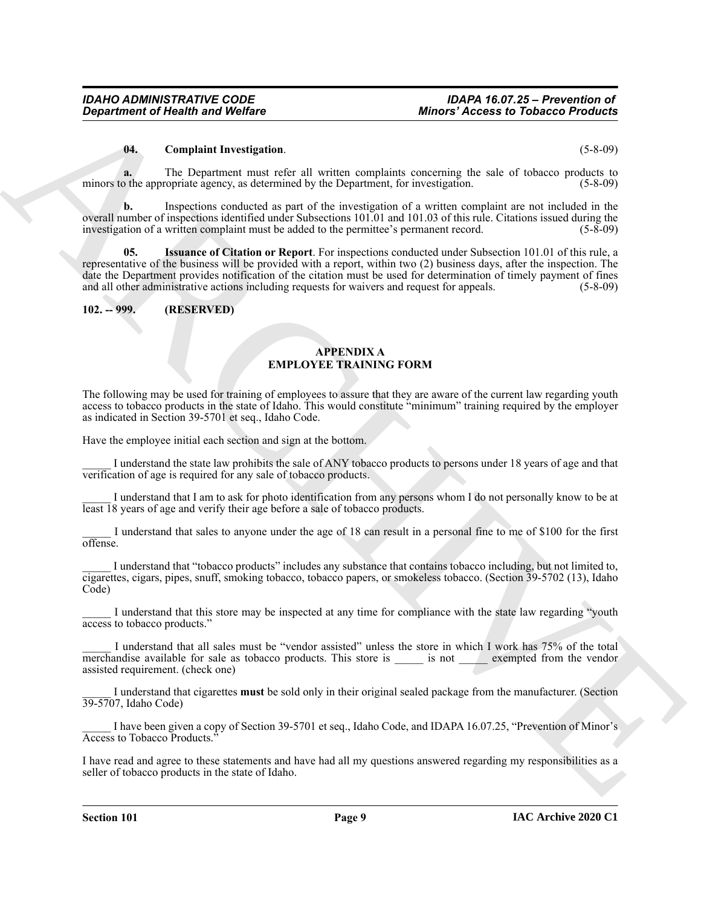#### <span id="page-8-2"></span>**04. Complaint Investigation**. (5-8-09)

**a.** The Department must refer all written complaints concerning the sale of tobacco products to minors to the appropriate agency, as determined by the Department, for investigation. (5-8-09)

<span id="page-8-3"></span>**b.** Inspections conducted as part of the investigation of a written complaint are not included in the overall number of inspections identified under Subsections 101.01 and 101.03 of this rule. Citations issued during the investigation of a written complaint must be added to the permittee's permanent record. (5-8-09)

**Department of Nearly was Wolfare**<br> **Minoring density and Wolfare**<br>
(**Completion the materialistic of the state of the state of the state of the state of the state of the state of the state of the state of the state of th 05. Issuance of Citation or Report**. For inspections conducted under Subsection 101.01 of this rule, a representative of the business will be provided with a report, within two (2) business days, after the inspection. The date the Department provides notification of the citation must be used for determination of timely payment of fines and all other administrative actions including requests for waivers and request for appeals. (5-8-09)

#### <span id="page-8-0"></span>**102. -- 999. (RESERVED)**

### <span id="page-8-1"></span>**APPENDIX A EMPLOYEE TRAINING FORM**

The following may be used for training of employees to assure that they are aware of the current law regarding youth access to tobacco products in the state of Idaho. This would constitute "minimum" training required by the employer as indicated in Section 39-5701 et seq., Idaho Code.

Have the employee initial each section and sign at the bottom.

\_\_\_\_\_ I understand the state law prohibits the sale of ANY tobacco products to persons under 18 years of age and that verification of age is required for any sale of tobacco products.

I understand that I am to ask for photo identification from any persons whom I do not personally know to be at least 18 years of age and verify their age before a sale of tobacco products.

I understand that sales to anyone under the age of 18 can result in a personal fine to me of \$100 for the first offense.

I understand that "tobacco products" includes any substance that contains tobacco including, but not limited to, cigarettes, cigars, pipes, snuff, smoking tobacco, tobacco papers, or smokeless tobacco. (Section 39-5702 (13), Idaho Code)

I understand that this store may be inspected at any time for compliance with the state law regarding "youth access to tobacco products."

I understand that all sales must be "vendor assisted" unless the store in which I work has 75% of the total merchandise available for sale as tobacco products. This store is exempted from the vendor assisted requirement. (check one)

\_\_\_\_\_ I understand that cigarettes **must** be sold only in their original sealed package from the manufacturer. (Section 39-5707, Idaho Code)

\_\_\_\_\_ I have been given a copy of Section 39-5701 et seq., Idaho Code, and IDAPA 16.07.25, "Prevention of Minor's Access to Tobacco Products."

I have read and agree to these statements and have had all my questions answered regarding my responsibilities as a seller of tobacco products in the state of Idaho.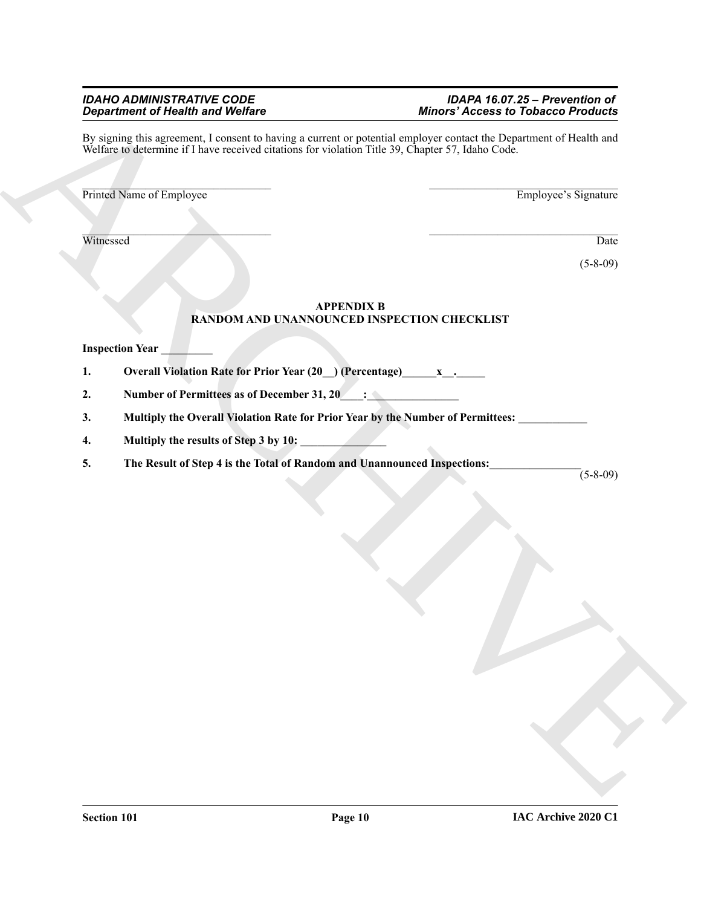### *IDAHO ADMINISTRATIVE CODE IDAPA 16.07.25 – Prevention of*  **Minors' Access to Tobacco Products**

 $\vec{B}$  results and the state of the state of the state of the state of the state of the state of the state of the state of the state of the state of the state of the state of the state of the state of the state of the st By signing this agreement, I consent to having a current or potential employer contact the Department of Health and Welfare to determine if I have received citations for violation Title 39, Chapter 57, Idaho Code.

 $\mathcal{L}=\mathcal{L}=\mathcal{L}=\mathcal{L}=\mathcal{L}=\mathcal{L}=\mathcal{L}=\mathcal{L}=\mathcal{L}=\mathcal{L}=\mathcal{L}=\mathcal{L}=\mathcal{L}=\mathcal{L}=\mathcal{L}=\mathcal{L}=\mathcal{L}=\mathcal{L}=\mathcal{L}=\mathcal{L}=\mathcal{L}=\mathcal{L}=\mathcal{L}=\mathcal{L}=\mathcal{L}=\mathcal{L}=\mathcal{L}=\mathcal{L}=\mathcal{L}=\mathcal{L}=\mathcal{L}=\mathcal{L}=\mathcal{L}=\mathcal{L}=\mathcal{L}=\mathcal{L}=\mathcal{$ Printed Name of Employee Employee Employee's Signature

Witnessed Date Number 2014

(5-8-09)

## **APPENDIX B RANDOM AND UNANNOUNCED INSPECTION CHECKLIST**

# **Inspection Year**

- 1. Overall Violation Rate for Prior Year (20<sub>\_</sub>) (Percentage) \_\_\_\_\_\_\_\_\_\_\_\_\_\_\_\_\_\_\_\_
- 2. Number of Permittees as of December 31, 20<sub>\_\_</sub>\_\_\_\_\_\_\_\_\_\_\_\_\_\_\_\_\_\_\_\_\_\_\_\_\_\_\_\_\_\_\_\_
- 3. Multiply the Overall Violation Rate for Prior Year by the Number of Permittees:
- **4. Multiply the results of Step 3 by 10: \_\_\_\_\_\_\_\_\_\_\_\_\_\_\_**
- **5. The Result of Step 4 is the Total of Random and Unannounced Inspections:\_\_\_\_\_\_\_\_\_\_\_\_\_\_\_\_**